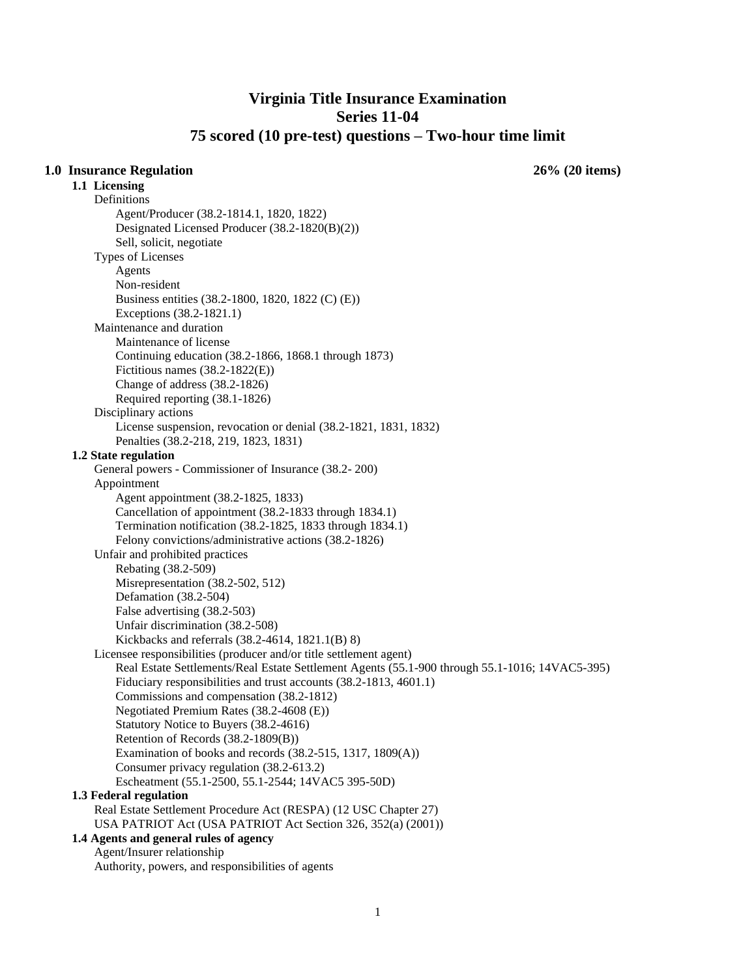# **Virginia Title Insurance Examination Series 11-04 75 scored (10 pre-test) questions – Two-hour time limit**

# **1.0 Insurance Regulation 26% (20 items)**

**1.1 Licensing**  Definitions Agent/Producer (38.2-1814.1, 1820, 1822) Designated Licensed Producer (38.2-1820(B)(2)) Sell, solicit, negotiate Types of Licenses Agents Non-resident Business entities (38.2-1800, 1820, 1822 (C) (E)) Exceptions (38.2-1821.1) Maintenance and duration Maintenance of license Continuing education (38.2-1866, 1868.1 through 1873) Fictitious names (38.2-1822(E)) Change of address (38.2-1826) Required reporting (38.1-1826) Disciplinary actions License suspension, revocation or denial (38.2-1821, 1831, 1832) Penalties (38.2-218, 219, 1823, 1831) **1.2 State regulation** General powers - Commissioner of Insurance (38.2- 200) Appointment Agent appointment (38.2-1825, 1833) Cancellation of appointment (38.2-1833 through 1834.1) Termination notification (38.2-1825, 1833 through 1834.1) Felony convictions/administrative actions (38.2-1826) Unfair and prohibited practices Rebating (38.2-509) Misrepresentation (38.2-502, 512) Defamation (38.2-504) False advertising (38.2-503) Unfair discrimination (38.2-508) Kickbacks and referrals (38.2-4614, 1821.1(B) 8) Licensee responsibilities (producer and/or title settlement agent) Real Estate Settlements/Real Estate Settlement Agents (55.1-900 through 55.1-1016; 14VAC5-395) Fiduciary responsibilities and trust accounts (38.2-1813, 4601.1) Commissions and compensation (38.2-1812) Negotiated Premium Rates (38.2-4608 (E)) Statutory Notice to Buyers (38.2-4616) Retention of Records (38.2-1809(B)) Examination of books and records (38.2-515, 1317, 1809(A)) Consumer privacy regulation (38.2-613.2) Escheatment (55.1-2500, 55.1-2544; 14VAC5 395-50D) **1.3 Federal regulation** Real Estate Settlement Procedure Act (RESPA) (12 USC Chapter 27) USA PATRIOT Act (USA PATRIOT Act Section 326, 352(a) (2001)) **1.4 Agents and general rules of agency** Agent/Insurer relationship

Authority, powers, and responsibilities of agents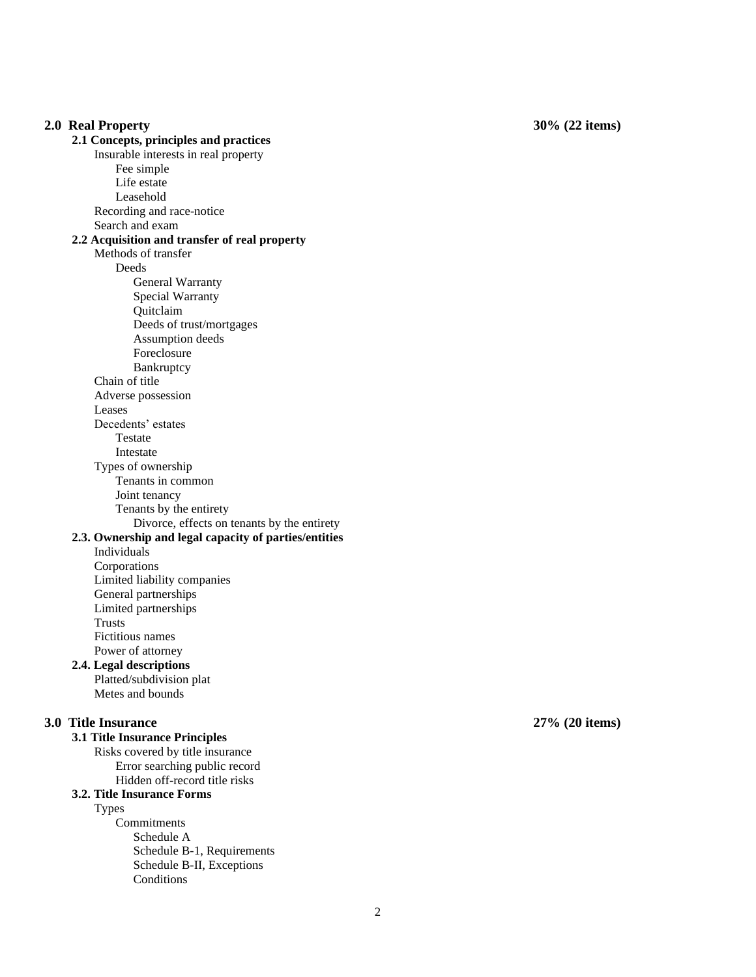### **2.0 Real Property 2.1 Concepts, principles and practices** Insurable interests in real property Fee simple Life estate Leasehold Recording and race -notice Search and exam **2. 2 Acquisition and transfer of real property** Methods of transfer **Deeds** General Warranty Special Warranty Quitclaim Deeds of trust/mortgage s Assumption deeds Foreclosure Bankruptcy Chain of title Adverse possession Leases Decedents' estates Testate Intestate Types of ownership Tenants in common Joint tenancy Tenants by the entirety Divorce, effects on tenants by the entirety **2.3. Ownership and legal capacity of parties/entities** Individuals Corporations Limited liability companies General partnerships Limited partnerships Trusts Fictitious names Power of attorney **2.4. Legal descriptions** Platted/subdivision plat Metes and bounds **3.0 Title Insurance 3.1 Title Insurance Principles** Risks covered by title insurance Error searching public record Hidden off-record title risks **3.2. Title Insurance Forms** Types Commitments Schedule A Schedule B -1, Requirements

Schedule B -II, Exceptions

Conditions

**2 7 % (20 items)**

**3 0 % (22 items)**